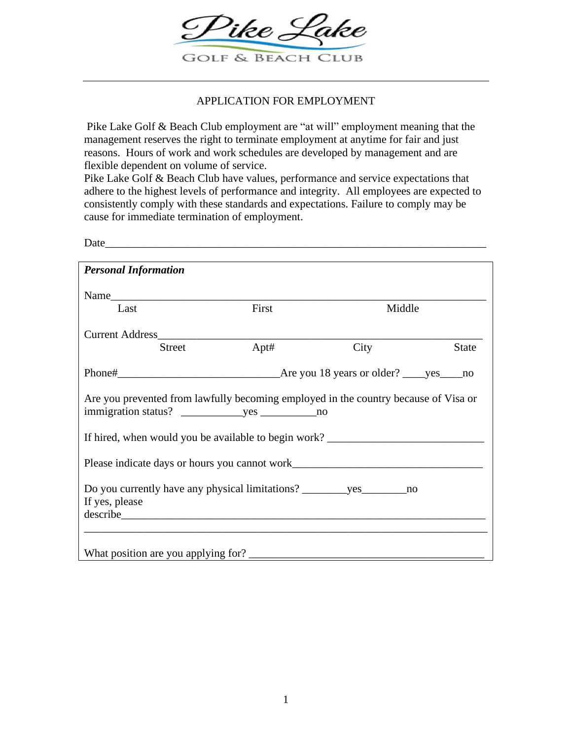

# APPLICATION FOR EMPLOYMENT

Pike Lake Golf & Beach Club employment are "at will" employment meaning that the management reserves the right to terminate employment at anytime for fair and just reasons. Hours of work and work schedules are developed by management and are flexible dependent on volume of service.

Pike Lake Golf & Beach Club have values, performance and service expectations that adhere to the highest levels of performance and integrity. All employees are expected to consistently comply with these standards and expectations. Failure to comply may be cause for immediate termination of employment.

Date

| <b>Personal Information</b>                                                         |       |        |              |
|-------------------------------------------------------------------------------------|-------|--------|--------------|
|                                                                                     |       |        |              |
|                                                                                     |       |        |              |
| Last                                                                                | First | Middle |              |
|                                                                                     |       |        |              |
|                                                                                     |       |        |              |
| Street                                                                              | Apt#  | City   | <b>State</b> |
|                                                                                     |       |        |              |
|                                                                                     |       |        |              |
|                                                                                     |       |        |              |
| Are you prevented from lawfully becoming employed in the country because of Visa or |       |        |              |
|                                                                                     |       |        |              |
|                                                                                     |       |        |              |
| If hired, when would you be available to begin work? ____________________________   |       |        |              |
|                                                                                     |       |        |              |
|                                                                                     |       |        |              |
|                                                                                     |       |        |              |
|                                                                                     |       |        |              |
| If yes, please                                                                      |       |        |              |
|                                                                                     |       |        |              |
|                                                                                     |       |        |              |
|                                                                                     |       |        |              |
|                                                                                     |       |        |              |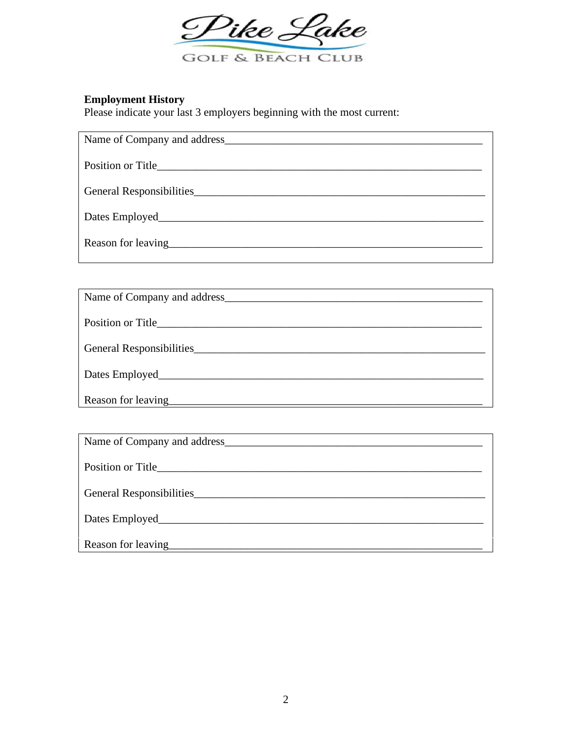

**Employment History**<br>Please indicate your last 3 employers beginning with the most current:

| General Responsibilities                                                                                                                                                                                                               |
|----------------------------------------------------------------------------------------------------------------------------------------------------------------------------------------------------------------------------------------|
| Dates Employed                                                                                                                                                                                                                         |
| Reason for leaving<br><u>equal to the set of the set of the set of the set of the set of the set of the set of the set of the set of the set of the set of the set of the set of the set of the set of the set of the set of the s</u> |
|                                                                                                                                                                                                                                        |

| Name of Company and address        |
|------------------------------------|
|                                    |
| General Responsibilities           |
| Dates Employed                     |
| Reason for leaving<br><u>equal</u> |

| Name of Company and address |
|-----------------------------|
|                             |
| General Responsibilities    |
|                             |
| Reason for leaving          |